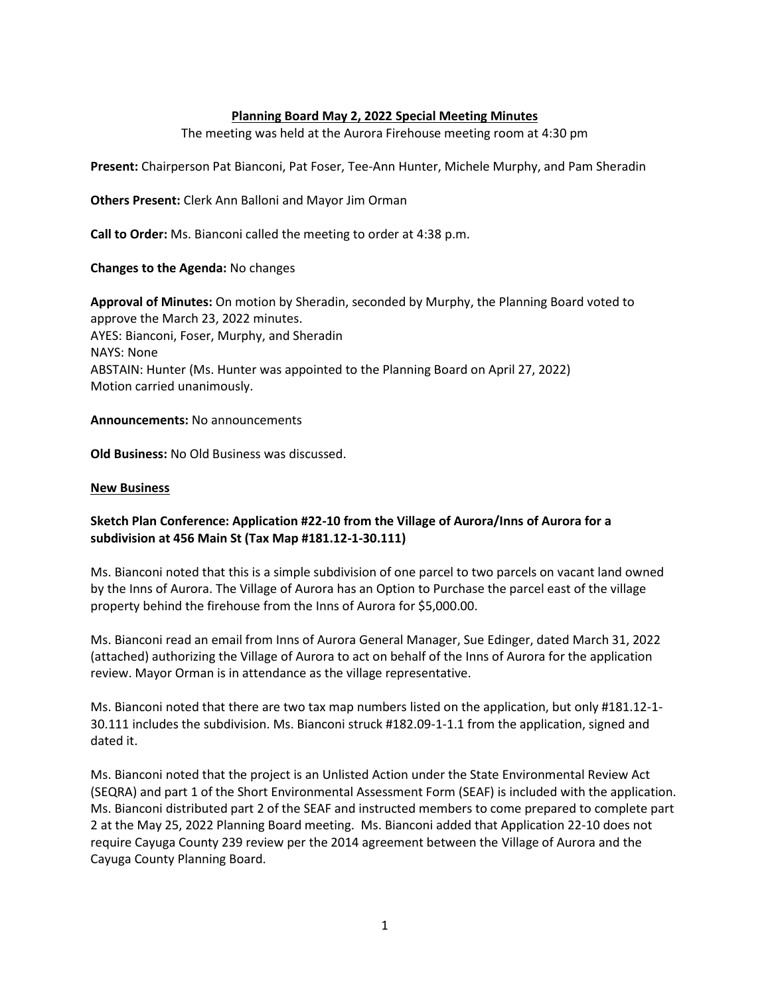## **Planning Board May 2, 2022 Special Meeting Minutes**

The meeting was held at the Aurora Firehouse meeting room at 4:30 pm

**Present:** Chairperson Pat Bianconi, Pat Foser, Tee-Ann Hunter, Michele Murphy, and Pam Sheradin

**Others Present:** Clerk Ann Balloni and Mayor Jim Orman

**Call to Order:** Ms. Bianconi called the meeting to order at 4:38 p.m.

## **Changes to the Agenda:** No changes

**Approval of Minutes:** On motion by Sheradin, seconded by Murphy, the Planning Board voted to approve the March 23, 2022 minutes. AYES: Bianconi, Foser, Murphy, and Sheradin NAYS: None ABSTAIN: Hunter (Ms. Hunter was appointed to the Planning Board on April 27, 2022) Motion carried unanimously.

**Announcements:** No announcements

**Old Business:** No Old Business was discussed.

## **New Business**

## **Sketch Plan Conference: Application #22-10 from the Village of Aurora/Inns of Aurora for a subdivision at 456 Main St (Tax Map #181.12-1-30.111)**

Ms. Bianconi noted that this is a simple subdivision of one parcel to two parcels on vacant land owned by the Inns of Aurora. The Village of Aurora has an Option to Purchase the parcel east of the village property behind the firehouse from the Inns of Aurora for \$5,000.00.

Ms. Bianconi read an email from Inns of Aurora General Manager, Sue Edinger, dated March 31, 2022 (attached) authorizing the Village of Aurora to act on behalf of the Inns of Aurora for the application review. Mayor Orman is in attendance as the village representative.

Ms. Bianconi noted that there are two tax map numbers listed on the application, but only #181.12-1- 30.111 includes the subdivision. Ms. Bianconi struck #182.09-1-1.1 from the application, signed and dated it.

Ms. Bianconi noted that the project is an Unlisted Action under the State Environmental Review Act (SEQRA) and part 1 of the Short Environmental Assessment Form (SEAF) is included with the application. Ms. Bianconi distributed part 2 of the SEAF and instructed members to come prepared to complete part 2 at the May 25, 2022 Planning Board meeting. Ms. Bianconi added that Application 22-10 does not require Cayuga County 239 review per the 2014 agreement between the Village of Aurora and the Cayuga County Planning Board.